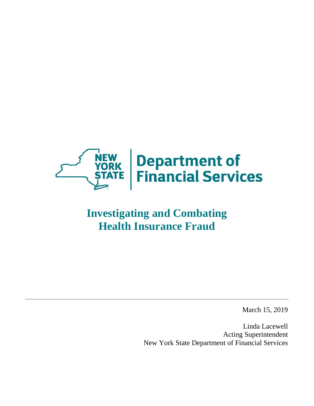

# **Investigating and Combating Health Insurance Fraud**

March 15, 2019

Linda Lacewell Acting Superintendent New York State Department of Financial Services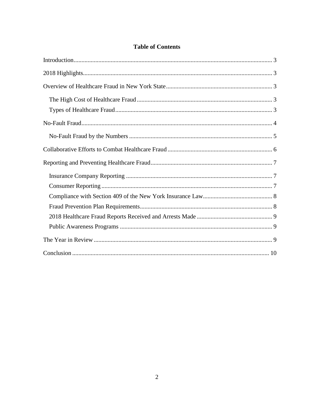## **Table of Contents**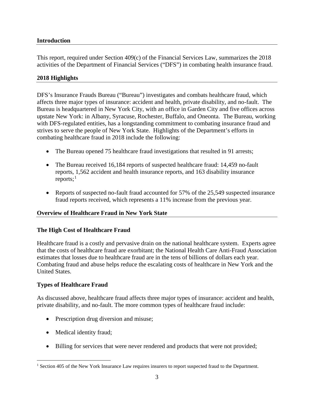## <span id="page-2-0"></span>**Introduction**

This report, required under Section 409(c) of the Financial Services Law, summarizes the 2018 activities of the Department of Financial Services ("DFS") in combating health insurance fraud.

## <span id="page-2-1"></span>**2018 Highlights**

DFS's Insurance Frauds Bureau ("Bureau") investigates and combats healthcare fraud, which affects three major types of insurance: accident and health, private disability, and no-fault. The Bureau is headquartered in New York City, with an office in Garden City and five offices across upstate New York: in Albany, Syracuse, Rochester, Buffalo, and Oneonta. The Bureau, working with DFS-regulated entities, has a longstanding commitment to combating insurance fraud and strives to serve the people of New York State. Highlights of the Department's efforts in combating healthcare fraud in 2018 include the following:

- The Bureau opened 75 healthcare fraud investigations that resulted in 91 arrests;
- The Bureau received 16,184 reports of suspected healthcare fraud: 14,459 no-fault reports, 1,562 accident and health insurance reports, and 163 disability insurance reports; $<sup>1</sup>$  $<sup>1</sup>$  $<sup>1</sup>$ </sup>
- Reports of suspected no-fault fraud accounted for 57% of the 25,549 suspected insurance fraud reports received, which represents a 11% increase from the previous year.

## <span id="page-2-2"></span>**Overview of Healthcare Fraud in New York State**

## <span id="page-2-3"></span>**The High Cost of Healthcare Fraud**

Healthcare fraud is a costly and pervasive drain on the national healthcare system. Experts agree that the costs of healthcare fraud are exorbitant; the National Health Care Anti-Fraud Association estimates that losses due to healthcare fraud are in the tens of billions of dollars each year. Combating fraud and abuse helps reduce the escalating costs of healthcare in New York and the United States.

## <span id="page-2-4"></span>**Types of Healthcare Fraud**

As discussed above, healthcare fraud affects three major types of insurance: accident and health, private disability, and no-fault. The more common types of healthcare fraud include:

- Prescription drug diversion and misuse;
- Medical identity fraud;
- Billing for services that were never rendered and products that were not provided;

<span id="page-2-5"></span><sup>&</sup>lt;sup>1</sup> Section 405 of the New York Insurance Law requires insurers to report suspected fraud to the Department.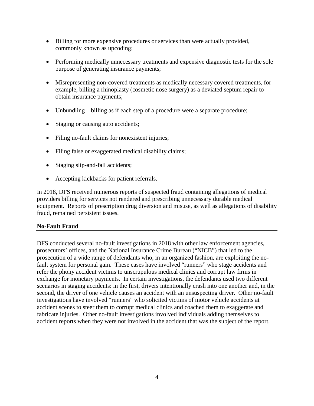- Billing for more expensive procedures or services than were actually provided, commonly known as upcoding;
- Performing medically unnecessary treatments and expensive diagnostic tests for the sole purpose of generating insurance payments;
- Misrepresenting non-covered treatments as medically necessary covered treatments, for example, billing a rhinoplasty (cosmetic nose surgery) as a deviated septum repair to obtain insurance payments;
- Unbundling—billing as if each step of a procedure were a separate procedure;
- Staging or causing auto accidents;
- Filing no-fault claims for nonexistent injuries;
- Filing false or exaggerated medical disability claims;
- Staging slip-and-fall accidents;
- Accepting kickbacks for patient referrals.

In 2018, DFS received numerous reports of suspected fraud containing allegations of medical providers billing for services not rendered and prescribing unnecessary durable medical equipment. Reports of prescription drug diversion and misuse, as well as allegations of disability fraud, remained persistent issues.

#### <span id="page-3-0"></span>**No-Fault Fraud**

<span id="page-3-1"></span>DFS conducted several no-fault investigations in 2018 with other law enforcement agencies, prosecutors' offices, and the National Insurance Crime Bureau ("NICB") that led to the prosecution of a wide range of defendants who, in an organized fashion, are exploiting the nofault system for personal gain. These cases have involved "runners" who stage accidents and refer the phony accident victims to unscrupulous medical clinics and corrupt law firms in exchange for monetary payments. In certain investigations, the defendants used two different scenarios in staging accidents: in the first, drivers intentionally crash into one another and, in the second, the driver of one vehicle causes an accident with an unsuspecting driver. Other no-fault investigations have involved "runners" who solicited victims of motor vehicle accidents at accident scenes to steer them to corrupt medical clinics and coached them to exaggerate and fabricate injuries. Other no-fault investigations involved individuals adding themselves to accident reports when they were not involved in the accident that was the subject of the report.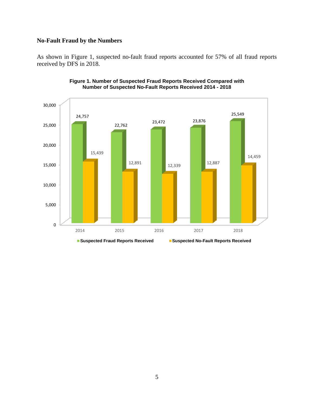## **No-Fault Fraud by the Numbers**

As shown in Figure 1, suspected no-fault fraud reports accounted for 57% of all fraud reports received by DFS in 2018.



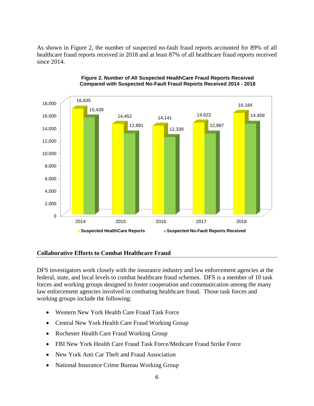As shown in Figure 2, the number of suspected no-fault fraud reports accounted for 89% of all healthcare fraud reports received in 2018 and at least 87% of all healthcare fraud reports received since 2014.



#### **Figure 2. Number of All Suspected HealthCare Fraud Reports Received Compared with Suspected No-Fault Fraud Reports Received 2014 - 2018**

#### <span id="page-5-0"></span>**Collaborative Efforts to Combat Healthcare Fraud**

DFS investigators work closely with the insurance industry and law enforcement agencies at the federal, state, and local levels to combat healthcare fraud schemes. DFS is a member of 10 task forces and working groups designed to foster cooperation and communication among the many law enforcement agencies involved in combating healthcare fraud. Those task forces and working groups include the following:

- Western New York Health Care Fraud Task Force
- Central New York Health Care Fraud Working Group
- Rochester Health Care Fraud Working Group
- FBI New York Health Care Fraud Task Force/Medicare Fraud Strike Force
- New York Anti Car Theft and Fraud Association
- National Insurance Crime Bureau Working Group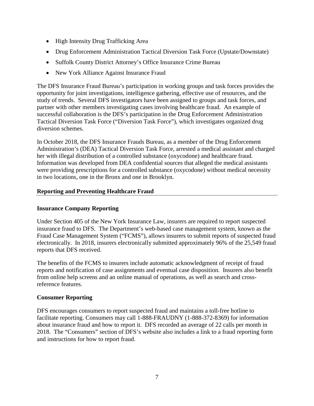- High Intensity Drug Trafficking Area
- Drug Enforcement Administration Tactical Diversion Task Force (Upstate/Downstate)
- Suffolk County District Attorney's Office Insurance Crime Bureau
- New York Alliance Against Insurance Fraud

The DFS Insurance Fraud Bureau's participation in working groups and task forces provides the opportunity for joint investigations, intelligence gathering, effective use of resources, and the study of trends. Several DFS investigators have been assigned to groups and task forces, and partner with other members investigating cases involving healthcare fraud. An example of successful collaboration is the DFS's participation in the Drug Enforcement Administration Tactical Diversion Task Force ("Diversion Task Force"), which investigates organized drug diversion schemes.

In October 2018, the DFS Insurance Frauds Bureau, as a member of the Drug Enforcement Administration's (DEA) Tactical Diversion Task Force, arrested a medical assistant and charged her with illegal distribution of a controlled substance (oxycodone) and healthcare fraud. Information was developed from DEA confidential sources that alleged the medical assistants were providing prescriptions for a controlled substance (oxycodone) without medical necessity in two locations, one in the Bronx and one in Brooklyn.

## <span id="page-6-0"></span>**Reporting and Preventing Healthcare Fraud**

## <span id="page-6-1"></span>**Insurance Company Reporting**

Under Section 405 of the New York Insurance Law, insurers are required to report suspected insurance fraud to DFS. The Department's web-based case management system, known as the Fraud Case Management System ("FCMS"), allows insurers to submit reports of suspected fraud electronically. In 2018, insurers electronically submitted approximately 96% of the 25,549 fraud reports that DFS received.

The benefits of the FCMS to insurers include automatic acknowledgment of receipt of fraud reports and notification of case assignments and eventual case disposition. Insurers also benefit from online help screens and an online manual of operations, as well as search and crossreference features.

#### <span id="page-6-2"></span>**Consumer Reporting**

DFS encourages consumers to report suspected fraud and maintains a toll-free hotline to facilitate reporting. Consumers may call 1-888-FRAUDNY (1-888-372-8369) for information about insurance fraud and how to report it. DFS recorded an average of 22 calls per month in 2018. The "Consumers" section of DFS's website also includes a link to a fraud reporting form and instructions for how to report fraud.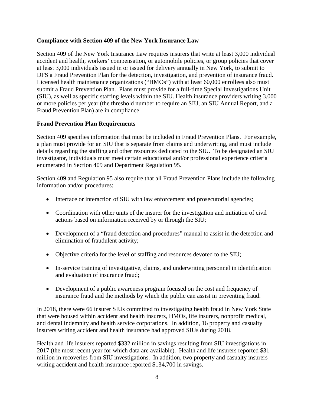## <span id="page-7-0"></span>**Compliance with Section 409 of the New York Insurance Law**

Section 409 of the New York Insurance Law requires insurers that write at least 3,000 individual accident and health, workers' compensation, or automobile policies, or group policies that cover at least 3,000 individuals issued in or issued for delivery annually in New York, to submit to DFS a Fraud Prevention Plan for the detection, investigation, and prevention of insurance fraud. Licensed health maintenance organizations ("HMOs") with at least 60,000 enrollees also must submit a Fraud Prevention Plan. Plans must provide for a full-time Special Investigations Unit (SIU), as well as specific staffing levels within the SIU. Health insurance providers writing 3,000 or more policies per year (the threshold number to require an SIU, an SIU Annual Report, and a Fraud Prevention Plan) are in compliance.

## <span id="page-7-1"></span>**Fraud Prevention Plan Requirements**

Section 409 specifies information that must be included in Fraud Prevention Plans. For example, a plan must provide for an SIU that is separate from claims and underwriting, and must include details regarding the staffing and other resources dedicated to the SIU. To be designated an SIU investigator, individuals must meet certain educational and/or professional experience criteria enumerated in Section 409 and Department Regulation 95.

Section 409 and Regulation 95 also require that all Fraud Prevention Plans include the following information and/or procedures:

- Interface or interaction of SIU with law enforcement and prosecutorial agencies;
- Coordination with other units of the insurer for the investigation and initiation of civil actions based on information received by or through the SIU;
- Development of a "fraud detection and procedures" manual to assist in the detection and elimination of fraudulent activity;
- Objective criteria for the level of staffing and resources devoted to the SIU;
- In-service training of investigative, claims, and underwriting personnel in identification and evaluation of insurance fraud;
- Development of a public awareness program focused on the cost and frequency of insurance fraud and the methods by which the public can assist in preventing fraud.

In 2018, there were 66 insurer SIUs committed to investigating health fraud in New York State that were housed within accident and health insurers, HMOs, life insurers, nonprofit medical, and dental indemnity and health service corporations. In addition, 16 property and casualty insurers writing accident and health insurance had approved SIUs during 2018.

Health and life insurers reported \$332 million in savings resulting from SIU investigations in 2017 (the most recent year for which data are available). Health and life insurers reported \$31 million in recoveries from SIU investigations. In addition, two property and casualty insurers writing accident and health insurance reported \$134,700 in savings.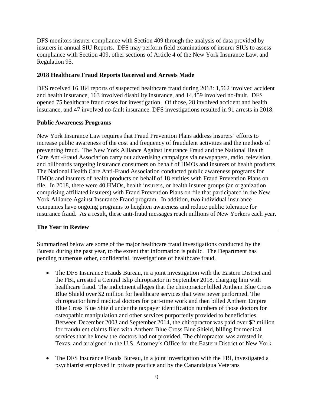DFS monitors insurer compliance with Section 409 through the analysis of data provided by insurers in annual SIU Reports. DFS may perform field examinations of insurer SIUs to assess compliance with Section 409, other sections of Article 4 of the New York Insurance Law, and Regulation 95.

## <span id="page-8-0"></span>**2018 Healthcare Fraud Reports Received and Arrests Made**

DFS received 16,184 reports of suspected healthcare fraud during 2018: 1,562 involved accident and health insurance, 163 involved disability insurance, and 14,459 involved no-fault. DFS opened 75 healthcare fraud cases for investigation. Of those, 28 involved accident and health insurance, and 47 involved no-fault insurance. DFS investigations resulted in 91 arrests in 2018.

## <span id="page-8-1"></span>**Public Awareness Programs**

New York Insurance Law requires that Fraud Prevention Plans address insurers' efforts to increase public awareness of the cost and frequency of fraudulent activities and the methods of preventing fraud. The New York Alliance Against Insurance Fraud and the National Health Care Anti-Fraud Association carry out advertising campaigns via newspapers, radio, television, and billboards targeting insurance consumers on behalf of HMOs and insurers of health products. The National Health Care Anti-Fraud Association conducted public awareness programs for HMOs and insurers of health products on behalf of 18 entities with Fraud Prevention Plans on file. In 2018, there were 40 HMOs, health insurers, or health insurer groups (an organization comprising affiliated insurers) with Fraud Prevention Plans on file that participated in the New York Alliance Against Insurance Fraud program. In addition, two individual insurance companies have ongoing programs to heighten awareness and reduce public tolerance for insurance fraud. As a result, these anti-fraud messages reach millions of New Yorkers each year.

## <span id="page-8-2"></span>**The Year in Review**

Summarized below are some of the major healthcare fraud investigations conducted by the Bureau during the past year, to the extent that information is public. The Department has pending numerous other, confidential, investigations of healthcare fraud.

- The DFS Insurance Frauds Bureau, in a joint investigation with the Eastern District and the FBI, arrested a Central Islip chiropractor in September 2018, charging him with healthcare fraud. The indictment alleges that the chiropractor billed Anthem Blue Cross Blue Shield over \$2 million for healthcare services that were never performed. The chiropractor hired medical doctors for part-time work and then billed Anthem Empire Blue Cross Blue Shield under the taxpayer identification numbers of those doctors for osteopathic manipulation and other services purportedly provided to beneficiaries. Between December 2003 and September 2014, the chiropractor was paid over \$2 million for fraudulent claims filed with Anthem Blue Cross Blue Shield, billing for medical services that he knew the doctors had not provided. The chiropractor was arrested in Texas, and arraigned in the U.S. Attorney's Office for the Eastern District of New York.
- The DFS Insurance Frauds Bureau, in a joint investigation with the FBI, investigated a psychiatrist employed in private practice and by the Canandaigua Veterans